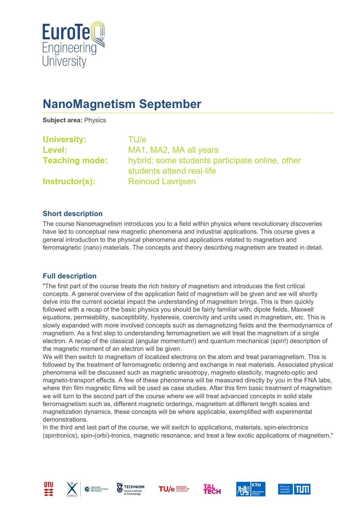

# **NanoMagnetism September**

**Subject area:** Physics

| <b>University:</b>    | TU/e                                                                         |
|-----------------------|------------------------------------------------------------------------------|
| Level:                | MA1, MA2, MA all years                                                       |
| <b>Teaching mode:</b> | hybrid: some students participate online, other<br>students attend real-life |
| Instructor(s):        | <b>Reinoud Lavrijsen</b>                                                     |

#### **Short description**

The course Nanomagnetism introduces you to a field within physics where revolutionary discoveries have led to conceptual new magnetic phenomena and industrial applications. This course gives a general introduction to the physical phenomena and applications related to magnetism and ferromagnetic (nano) materials. The concepts and theory describing magnetism are treated in detail.

### **Full description**

"The first part of the course treats the rich history of magnetism and introduces the first critical concepts. A general overview of the application field of magnetism will be given and we will shortly delve into the current societal impact the understanding of magnetism brings. This is then quickly followed with a recap of the basic physics you should be fairly familiar with; dipole fields, Maxwell equations, permeability, susceptibility, hysteresis, coercivity and units used in magnetism, etc. This is slowly expanded with more involved concepts such as demagnetizing fields and the thermodynamics of magnetism. As a first step to understanding ferromagnetism we will treat the magnetism of a single electron. A recap of the classical (angular momentum!) and quantum mechanical (spin!) description of the magnetic moment of an electron will be given.

We will then switch to magnetism of localized electrons on the atom and treat paramagnetism. This is followed by the treatment of ferromagnetic ordering and exchange in real materials. Associated physical phenomena will be discussed such as magnetic anisotropy, magneto elasticity, magneto-optic and magneto-transport effects. A few of these phenomena will be measured directly by you in the FNA labs, where thin film magnetic films will be used as case studies. After this firm basic treatment of magnetism we will turn to the second part of the course where we will treat advanced concepts in solid state ferromagnetism such as, different magnetic orderings, magnetism at different length scales and magnetization dynamics, these concepts will be where applicable, exemplified with experimental demonstrations.

In the third and last part of the course, we will switch to applications, materials, spin-electronics (spintronics), spin-(orbi)-tronics, magnetic resonance, and treat a few exotic applications of magnetism."













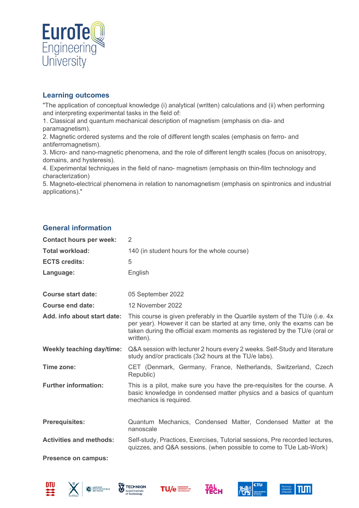

#### **Learning outcomes**

"The application of conceptual knowledge (i) analytical (written) calculations and (ii) when performing and interpreting experimental tasks in the field of:

1. Classical and quantum mechanical description of magnetism (emphasis on dia- and paramagnetism).

2. Magnetic ordered systems and the role of different length scales (emphasis on ferro- and antiferromagnetism).

3. Micro- and nano-magnetic phenomena, and the role of different length scales (focus on anisotropy, domains, and hysteresis).

4. Experimental techniques in the field of nano- magnetism (emphasis on thin-film technology and characterization)

5. Magneto-electrical phenomena in relation to nanomagnetism (emphasis on spintronics and industrial applications)."

### **General information**

| <b>Contact hours per week:</b>   | 2                                                                                                                                                                                                                                                |
|----------------------------------|--------------------------------------------------------------------------------------------------------------------------------------------------------------------------------------------------------------------------------------------------|
| <b>Total workload:</b>           | 140 (in student hours for the whole course)                                                                                                                                                                                                      |
| <b>ECTS credits:</b>             | 5                                                                                                                                                                                                                                                |
| Language:                        | English                                                                                                                                                                                                                                          |
| <b>Course start date:</b>        | 05 September 2022                                                                                                                                                                                                                                |
| <b>Course end date:</b>          | 12 November 2022                                                                                                                                                                                                                                 |
| Add. info about start date:      | This course is given preferably in the Quartile system of the TU/e (i.e. 4x<br>per year). However it can be started at any time, only the exams can be<br>taken during the official exam moments as registered by the TU/e (oral or<br>written). |
| <b>Weekly teaching day/time:</b> | Q&A session with lecturer 2 hours every 2 weeks. Self-Study and literature<br>study and/or practicals (3x2 hours at the TU/e labs).                                                                                                              |
| Time zone:                       | CET (Denmark, Germany, France, Netherlands, Switzerland, Czech<br>Republic)                                                                                                                                                                      |
| <b>Further information:</b>      | This is a pilot, make sure you have the pre-requisites for the course. A<br>basic knowledge in condensed matter physics and a basics of quantum<br>mechanics is required.                                                                        |
| <b>Prerequisites:</b>            | Quantum Mechanics, Condensed Matter, Condensed Matter at the<br>nanoscale                                                                                                                                                                        |
| <b>Activities and methods:</b>   | Self-study, Practices, Exercises, Tutorial sessions, Pre recorded lectures,<br>quizzes, and Q&A sessions. (when possible to come to TUe Lab-Work)                                                                                                |
| <b>Presence on campus:</b>       |                                                                                                                                                                                                                                                  |











**Тесн**